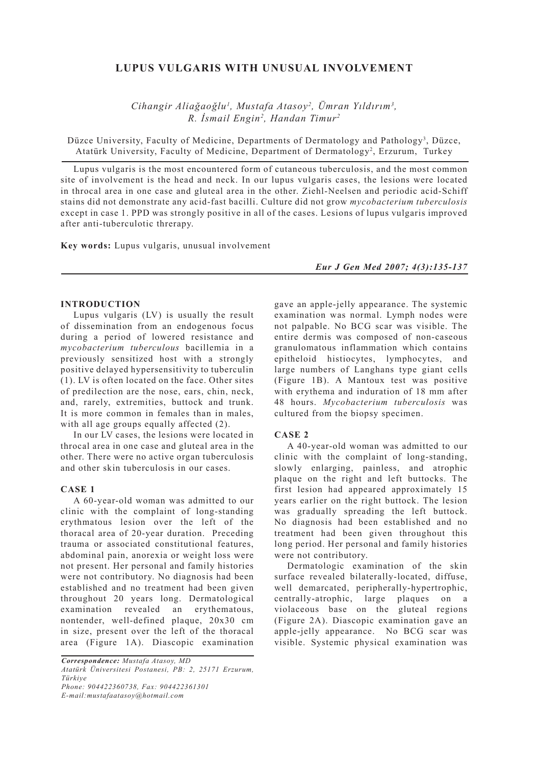# **LUPUS VULGARIS WITH UNUSUAL INVOLVEMENT**

*Cihangir Aliağaoğlu1 , Mustafa Atasoy2 , Ümran Yıldırım3 , R. İsmail Engin2 , Handan Timur2*

Düzce University, Faculty of Medicine, Departments of Dermatology and Pathology<sup>3</sup>, Düzce, Atatürk University, Faculty of Medicine, Department of Dermatology<sup>2</sup>, Erzurum, Turkey

Lupus vulgaris is the most encountered form of cutaneous tuberculosis, and the most common site of involvement is the head and neck. In our lupus vulgaris cases, the lesions were located in throcal area in one case and gluteal area in the other. Ziehl-Neelsen and periodic acid-Schiff stains did not demonstrate any acid-fast bacilli. Culture did not grow *mycobacterium tuberculosis* except in case 1. PPD was strongly positive in all of the cases. Lesions of lupus vulgaris improved after anti-tuberculotic threrapy.

**Key words:** Lupus vulgaris, unusual involvement

*Eur J Gen Med 2007; 4(3):135-137*

### **INTRODUCTION**

Lupus vulgaris (LV) is usually the result of dissemination from an endogenous focus during a period of lowered resistance and *mycobacterium tuberculous* bacillemia in a previously sensitized host with a strongly positive delayed hypersensitivity to tuberculin (1). LV is often located on the face. Other sites of predilection are the nose, ears, chin, neck, and, rarely, extremities, buttock and trunk. It is more common in females than in males, with all age groups equally affected  $(2)$ .

In our LV cases, the lesions were located in throcal area in one case and gluteal area in the other. There were no active organ tuberculosis and other skin tuberculosis in our cases.

#### **CASE 1**

A 60-year-old woman was admitted to our clinic with the complaint of long-standing erythmatous lesion over the left of the thoracal area of 20-year duration. Preceding trauma or associated constitutional features, abdominal pain, anorexia or weight loss were not present. Her personal and family histories were not contributory. No diagnosis had been established and no treatment had been given throughout 20 years long. Dermatological examination revealed an erythematous, nontender, well-defined plaque, 20x30 cm in size, present over the left of the thoracal area (Figure 1A). Diascopic examination

*Correspondence: Mustafa Atasoy, MD Atatürk Üniversitesi Postanesi, PB: 2, 25171 Erzurum, Türkiye Phone: 904422360738, Fax: 904422361301 E-mail:mustafaatasoy@hotmail.com*

gave an apple-jelly appearance. The systemic examination was normal. Lymph nodes were not palpable. No BCG scar was visible. The entire dermis was composed of non-caseous granulomatous inflammation which contains epitheloid histiocytes, lymphocytes, and large numbers of Langhans type giant cells (Figure 1B). A Mantoux test was positive with erythema and induration of 18 mm after 48 hours. *Mycobacterium tuberculosis* was cultured from the biopsy specimen.

# **CASE 2**

A 40-year-old woman was admitted to our clinic with the complaint of long-standing, slowly enlarging, painless, and atrophic plaque on the right and left buttocks. The first lesion had appeared approximately 15 years earlier on the right buttock. The lesion was gradually spreading the left buttock. No diagnosis had been established and no treatment had been given throughout this long period. Her personal and family histories were not contributory.

Dermatologic examination of the skin surface revealed bilaterally-located, diffuse, well demarcated, peripherally-hypertrophic, centrally-atrophic, large plaques on a violaceous base on the gluteal regions (Figure 2A). Diascopic examination gave an apple-jelly appearance. No BCG scar was visible. Systemic physical examination was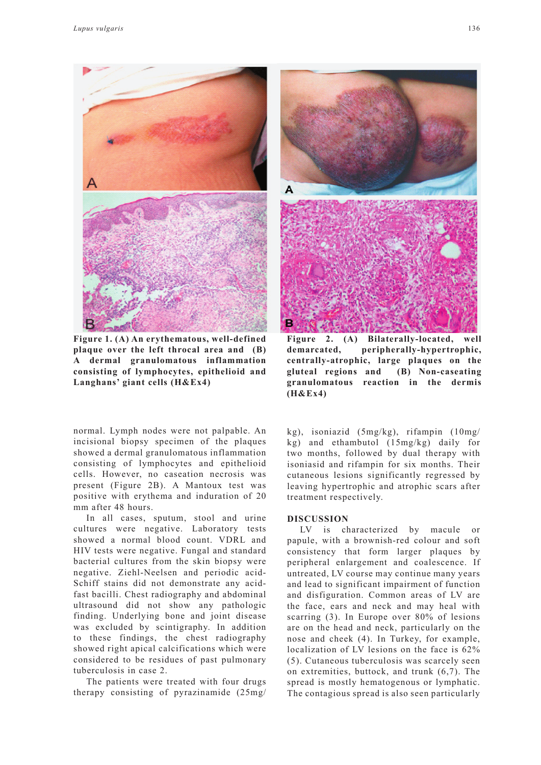



**Figure 1. (A) An erythematous, well-defined plaque over the left throcal area and (B) A dermal granulomatous inflammation consisting of lymphocytes, epithelioid and Langhans' giant cells (H&Ex4)**

normal. Lymph nodes were not palpable. An incisional biopsy specimen of the plaques showed a dermal granulomatous inflammation consisting of lymphocytes and epithelioid cells. However, no caseation necrosis was present (Figure 2B). A Mantoux test was positive with erythema and induration of 20 mm after 48 hours.

In all cases, sputum, stool and urine cultures were negative. Laboratory tests showed a normal blood count. VDRL and HIV tests were negative. Fungal and standard bacterial cultures from the skin biopsy were negative. Ziehl-Neelsen and periodic acid-Schiff stains did not demonstrate any acidfast bacilli. Chest radiography and abdominal ultrasound did not show any pathologic finding. Underlying bone and joint disease was excluded by scintigraphy. In addition to these findings, the chest radiography showed right apical calcifications which were considered to be residues of past pulmonary tuberculosis in case 2.

The patients were treated with four drugs therapy consisting of pyrazinamide (25mg/



**Figure 2. (A) Bilaterally-located, well demarcated, peripherally-hypertrophic, centrally-atrophic, large plaques on the gluteal regions and (B) Non-caseating granulomatous reaction in the dermis (H&Ex4)**

kg), isoniazid (5mg/kg), rifampin (10mg/ kg) and ethambutol (15mg/kg) daily for two months, followed by dual therapy with isoniasid and rifampin for six months. Their cutaneous lesions significantly regressed by leaving hypertrophic and atrophic scars after treatment respectively.

## **DISCUSSION**

LV is characterized by macule or papule, with a brownish-red colour and soft consistency that form larger plaques by peripheral enlargement and coalescence. If untreated, LV course may continue many years and lead to significant impairment of function and disfiguration. Common areas of LV are the face, ears and neck and may heal with scarring (3). In Europe over 80% of lesions are on the head and neck, particularly on the nose and cheek (4). In Turkey, for example, localization of LV lesions on the face is 62% (5). Cutaneous tuberculosis was scarcely seen on extremities, buttock, and trunk (6,7). The spread is mostly hematogenous or lymphatic. The contagious spread is also seen particularly